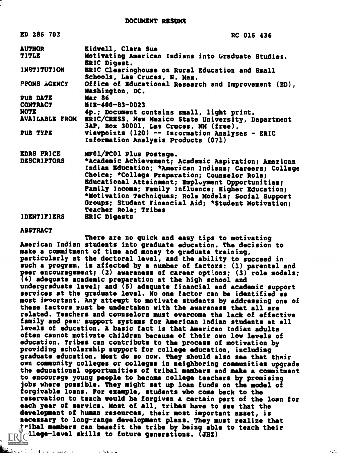| ED 286 703            | RC 016 436                                                                                    |
|-----------------------|-----------------------------------------------------------------------------------------------|
| <b>AUTHOR</b>         | Kidwell, Clara Sue                                                                            |
| TITLE                 | Notivating American Indians into Graduate Studies.<br>ERIC Digest.                            |
| <b>INSTITUTION</b>    | ERIC Clearinghouse on Rural Education and Small<br>Schools, Las Cruces, N. Mex.               |
| <b>FPONS AGENCY</b>   | Office of Educational Research and Improvement (ED),<br>Washington, DC.                       |
| <b>PUB DATE</b>       | <b>Mar 86</b>                                                                                 |
| <b>CONTRACT</b>       | NIE-400-83-0023                                                                               |
| NOTE                  | 4p.; Document contains small, light print.                                                    |
| <b>AVAILABLE FROM</b> | ERIC/CRESS, New Mexico State University, Department<br>3AP, Box 30001, Las Cruces, NM (free). |
| PUB TYPE              | Viewpoints (120) -- Incormation Analyses - ERIC<br>Information Analysis Products (071)        |
| <b>EDRS PRICE</b>     | MF01/PC01 Plus Postage.                                                                       |
| <b>DESCRIPTORS</b>    | *Academic Achievement; Academic Aspiration; American                                          |
|                       | Indian Education; *American Indians; Careers; College                                         |
|                       | Choice; *College Preparation; Counselor Role;                                                 |
|                       | Educational Attainment; Employment Opportunities;                                             |
|                       | Family Income; Family Influence; Higher Education;                                            |
|                       | *Motivation Techniques; Role Models; Social Support                                           |
|                       | Groups; Student Financial Aid; *Student Motivation;                                           |
|                       | <b>Teacher Role; Tribes</b>                                                                   |
| <b>IDENTIFIERS</b>    | <b>ERIC Digests</b>                                                                           |

### ABSTRACT

There are no quick and easy tips to motivating American Indian students into graduate education. The decision to make a commitment of time and money to graduate training, particularly at the doctoral level, and the ability to succeed in such a program, is affected by a number of factors: (1) parental and peer encouragement; (2) awareness of career options; (3) role models; (4) adequate academic preparation at the high school and undergraduate level; and (5) adequate financial and academic support services at the graduate level. No one factor can be identified as most irvortant. Any attempt to motivate students by addressing one of these factors must be undertaken with the awareness that all are related. Teachers and counselors must overcome the lack of effective family and peen support systems for American Indian students at all levels of education. A basic fact is that American Indian adults often cannot motivate children because of their own low levels of education. Tribes can contribute to the process of motivation by providing scholarship support for college education, including graduate education. Most do so now. They should also see that their own community colleges or colleges in neighboring communities upgrade the educational opportunities of tribal members and make a commitment to encourage young people to become college teachers by promising jobs where possible. They might set up loan funds on the model of forgivable loans. For example, students who come back to the reservation to teach would be forgiven a certain part of the loan for each year of service. Most of all, tribes have to see that the development of human resources, their most important asset, is necessary to long-range development plans. They must realize that tribal members can benefit the tribe by being able to teach their  $ERIC$ llege-level skills to future generations. (JHZ)

ال الله المتحركة والمستوفية المتحركة المتحدة المؤتمر المؤتمر

المستدر الجاف<sup>ة س</sup>د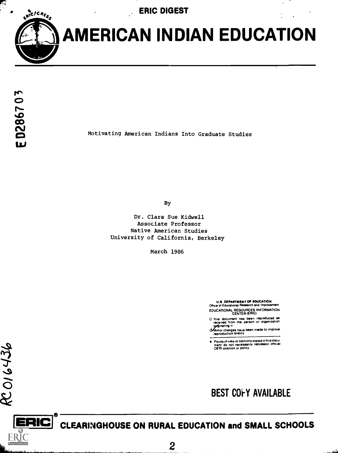ERIC DIGEST



AMERICAN INDIAN EDUCATION

 $436$ 

 $\tilde{\circ}$ 

**ERIC** 

Motivating American Indians Into Graduate Studies

By

Dr. Clara Sue Kidwell Associate Professor Native American Studies University of California, Berkeley

March 1986

U.S DEPARTMENT OF EDUCATION Office of Educational Research and Improvement EDUCATIONAL RESOURCES INFORMATION<br>CENTER (ERIC)

- 0 This document has been reproduced as received from the person or organization
- os ginating it<br>d Minor changes have been made to improve<br>reproduction quality

Points of view or opinions stated in this docu-ment do not necessarily represent official OERI position or policy



## ERIC CLEARINGHOUSE ON RURAL EDUCATION and SMALL SCHOOLS

 $\overline{c}$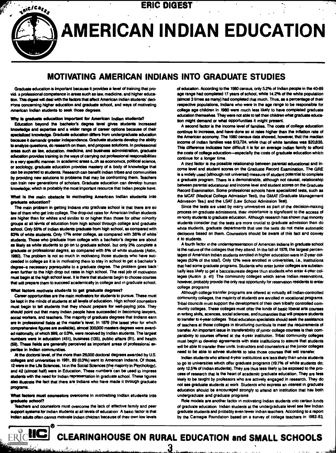## $t_n$ <sub>tic</sub>/c<sub>ac<sub>s</sub>, ERIC DIGEST</sub>

# AMERICAN INDIAN EDUCATION

## MOTIVATING AMERICAN INDIANS INTO GRADUATE STUDIES

Graduate education is important because it provides a level of training that provid; s professional competence in areas such as law, medicine, and higher education. This digest will deal with the factors that affect American Indian students' decivions concerning higher education and graduate school, and ways of motivating American Indian students to seek those degrees.

#### Why is graduate education Important for American Indian students?

Education beyond the bachelor's degree level gives students increased knowledge and expertise and a wider range of career options because of their specialized knowledge. Graduals education differs from undergraduate education because it demands greater independence. Graduate students develop the ability to analyze questions, do research on them, and propose solutions. In professional areas such as law, education, medicine, and business administration, graduate education provides training in the ways of carrying out professional responsibilities in a very specific manner. In academic areas s.ch as economics, political science, or sociology, graduate education provides mastery of a body of knowledge that can be imparted to students. Research can benefit Indian tribes and communities by providing new solutions to problems that may be confronting them. Teachers can train new generations of scholars. Graduate education can develop human knowledge; which is probably the most important resource that Indian people have.

### What Is the main obstacle to motivating American Indian students Into graduate education?

The main problem in getting Indians into graduate school is that there are so few of them who get into college. The drop-out rates for American Indian students are higher than for whites and similar to or higher than those for other minority groups at all levnis of education from high school through college and graduate school. Only 55% of Indian students graduate from high school, as compared with 83% of white students. Only 17% enter college, as compared with 38% of white' students. Those who graduate from college with a bachelor's degree are about as likely as white students to go on to graduate school, but only 2% complete a graduate or professional degree, as compared with 8% of white students (Astin, 1980). The problem is not so much in motivating those students who have succeeded in college as it is in motivating them to stay in school to get a bachelor's degree-a necessary prerequisite to a graduate degree. The problem goes back even further to the high drop out rates in high school. The real job of motivation must begin at the high school level. It is there that students begin to choose courses that will prepare them to succeed academically in college and in graduate school.

#### What factors motivate students to get graduate degrees?

Career opportunities are the main motivators for students to pursue. These must be kept in the minds of students at all levels of education. High school counselors must begin to tell students that they should prepare for well-paying jobs. They should point out that many Indian people have succeeded in becoming lawyers, social workers, and teachers. The maprity of graduate degrees that Indians earn are in professional fields at the master's level. In 1979 (the latest year for which comprehensive figures am available), almost 300,000 masters degrees were awarded nationally, of which 999, or 0.3%, were received by Indian students. The largest numbers were in education (451), business (135), public affairs (81), and health (59). These fields are generally perceived as important areas of professions: expertise in Indian communities.

M the doctoral level, of the more than 28,000 doctoral degrees awarded by U.S. colleges and universities in 1981, 89 (0.3%) went to American Indians. Of those, 12 were in the Life Sciences, 14 in the Social Sciences (the majority in Psychology), and 42 (almost half) were in Education. These numbers can be used to impress students with the need for Indian representation in graduate school. These figures also illustrate the fact that there are indians who have made it through graduate programs.

### What factors must counselors overcome in motivating indian students into graduate school?

Teachers and counselors must overcome the lack of effective family and peer support systems for indian students at all levels of education. A basic factor is that lndien adults often cannot motivate Indian children because of their own low levels

of education. According to the 1980 census, only 5.2% of Indian people in the 40-89 age range had completed 17 years of school, while 14.2% of the white population (almost 3 times as many) had completed that much. Thus, as a percentage of their respective populations, Indians who were in the age range to be responsible for college age children in 1980 were much less likely to have completed graduate education themselves. They were not able to tell their children what graduate education might demand or what opportunities it might present.

A second factor is the income level of families. The costs of college education continue to increase, and have done so at rates higher than the inflation rate of the American economy. The 1980 census data showed, however, that the median income of Indian families was \$13,724, while that of white families was \$20,835. This difference indicates how difficult it is for an average Indian family to afford the costs of college education-especially the costs of graduate education which continue for a longer time.

A third factor is the possible relationship between parental educational and income level and student scores on the Graduate Record Examination. The GRE is a widely used (although not universal) measure of student potential to complete a graduate program. There is a demonstrable, although not causal, relationship between parental educational and income level and student scores on the Graduate Record Examination. Some professional schools have specialized tests, such as the MCAT (Medical College Admission Test), the GMAT (Graduate Management Admission Tesi) and the LSAT (Law School Admission Test).

Since the tests are used by mary universities as part of the decision-making process on graduate admissions, their importance is significant to the access of rrenority students to graduate education. Although research has shown that minority students consider that the tests are more crucial to graduate admission than do white students, graduate departments that use the tests do not make automatic decisions based on them. Counselors should be aware of this fact and convey it to students.

A fourth factor in the underrepresentation of American Indians in graduate school is the nature of the colleges that they attend. In the fall of 1978, the largest percentages of American Indian students enrolled in higher education were in 2-year colleges (53% of the total). Only 12% were enrolled in universities, i.e., institutions that had some graduate programs. Students who enter junior colleges are substantially less likely to get a baccalaureate degree than students who enter 4-year colleges (Austin p. 41) The community colleges which serve Indian reservations, however, probably provide the only real opportunity for reservation residents to enter college programs

Although college transfer programs are offered at virtually all Indian-controlled community colleges, the majority of students are enrolled in vocational programs. Tnbal councils must support the development of their own tribally controlled community colleges. These colleges must offer the kinds of basic liberal arts courses 111 writing skills, sciences, social sciences, and humanities that will prepare students to transfer to 4-year colleges Tribal education specialists should seek the assistance of teachers at those colleges in structuring curricula to meet the requirements of transfer. An important issue in transferability of junior college courses is their comparability to courses offered at the 4-year institution. Tribal community colleges must begin to develop agreements with state institutions to assure that students will be able to transfer their units. Instructors and counselors at the junior colleges need to be able to advise students to take those courses that will transfer.

Indian students who attend 4-year institutions are less likely than white students to go to universities which offer graduate programs (19.7% of white students do; only 12.5% of Indian students). They are thus less likely to be exposed to the process of research that is the heart of academic graduate education. They are less likely to be taught by professors who are actively engaged in research. They do not see graduate students at work Students who express an interest in graduate education should be encouraged strongly to attend an institution that has both undergraduate and graduate programs

Role models are another factor in motivating Indian students into certain kinds of graduate education Indian students at the undergraduate level see few Indian graduate students and probably even fewer Indian teachers. According to a report by the Carnegie Foundation based on a survey of college teachers in 1982-83,



## ERICHC CLEARINGHOUSE ON RURAL EDUCATION and SMALL SCHOOLS

أأناط المأموس وصاريف والمراجع

3